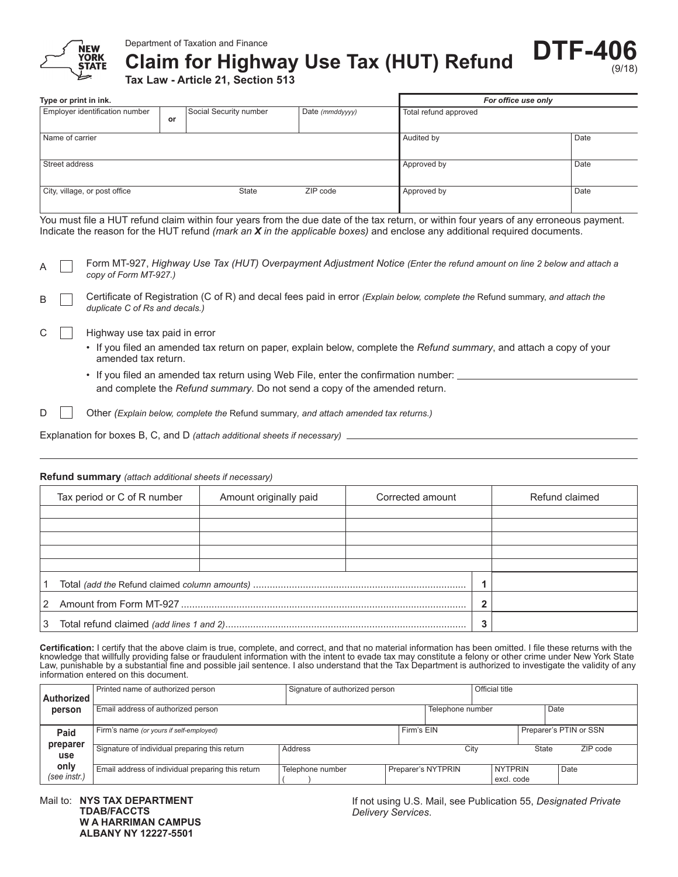

**Claim for Highway Use Tax (HUT) Refund**

**Tax Law - Article 21, Section 513**

| Type or print in ink.          |    |                        |                 | For office use only   |      |  |
|--------------------------------|----|------------------------|-----------------|-----------------------|------|--|
| Employer identification number | or | Social Security number | Date (mmddyyyy) | Total refund approved |      |  |
| Name of carrier                |    |                        | Audited by      | Date                  |      |  |
| Street address                 |    |                        |                 | Approved by           | Date |  |
| City, village, or post office  |    | <b>State</b>           | ZIP code        | Approved by           | Date |  |

You must file a HUT refund claim within four years from the due date of the tax return, or within four years of any erroneous payment. Indicate the reason for the HUT refund *(mark an X in the applicable boxes)* and enclose any additional required documents.

|  | A The Form MT-927, Highway Use Tax (HUT) Overpayment Adjustment Notice (Enter the refund amount on line 2 below and attach a |
|--|------------------------------------------------------------------------------------------------------------------------------|
|  | copy of Form MT-927.)                                                                                                        |

B **Certificate of Registration (C of R)** and decal fees paid in error *(Explain below, complete the Refund summary, and attach the duplicate C of Rs and decals.)*

#### $C \parallel$  Highway use tax paid in error

- • If you filed an amended tax return on paper, explain below, complete the *Refund summary*, and attach a copy of your amended tax return.
- If you filed an amended tax return using Web File, enter the confirmation number: and complete the *Refund summary*. Do not send a copy of the amended return.

D **Other** *(Explain below, complete the Refund summary, and attach amended tax returns.)* 

Explanation for boxes B, C, and D *(attach additional sheets if necessary)*

#### **Refund summary** *(attach additional sheets if necessary)*

|   | Tax period or C of R number | Amount originally paid | Corrected amount |  | Refund claimed |  |
|---|-----------------------------|------------------------|------------------|--|----------------|--|
|   |                             |                        |                  |  |                |  |
|   |                             |                        |                  |  |                |  |
|   |                             |                        |                  |  |                |  |
|   |                             |                        |                  |  |                |  |
|   |                             |                        |                  |  |                |  |
|   |                             |                        |                  |  |                |  |
| 2 |                             | n                      |                  |  |                |  |
| 3 |                             | 3                      |                  |  |                |  |

**Certification:** I certify that the above claim is true, complete, and correct, and that no material information has been omitted. I file these returns with the knowledge that willfully providing false or fraudulent information with the intent to evade tax may constitute a felony or other crime under New York State Law, punishable by a substantial fine and possible jail sentence. I also understand that the Tax Department is authorized to investigate the validity of any information entered on this document.

| <b>Authorized</b>    | Printed name of authorized person                 | Signature of authorized person |            |                    | Official title |                              |       |          |  |
|----------------------|---------------------------------------------------|--------------------------------|------------|--------------------|----------------|------------------------------|-------|----------|--|
| person               | Email address of authorized person                |                                |            | Telephone number   |                |                              |       | Date     |  |
| Paid                 | Firm's name (or yours if self-employed)           |                                | Firm's EIN |                    |                | Preparer's PTIN or SSN       |       |          |  |
| preparer<br>use      | Signature of individual preparing this return     | Address                        |            | City               |                |                              | State | ZIP code |  |
| only<br>(see instr.) | Email address of individual preparing this return | Telephone number               |            | Preparer's NYTPRIN |                | <b>NYTPRIN</b><br>excl. code |       | Date     |  |

Mail to: **NYS TAX DEPARTMENT TDAB/FACCTS W A HARRIMAN CAMPUS ALBANY NY 12227-5501**

If not using U.S. Mail, see Publication 55, *Designated Private Delivery Services*.

**DTF-4** 

(9/18)